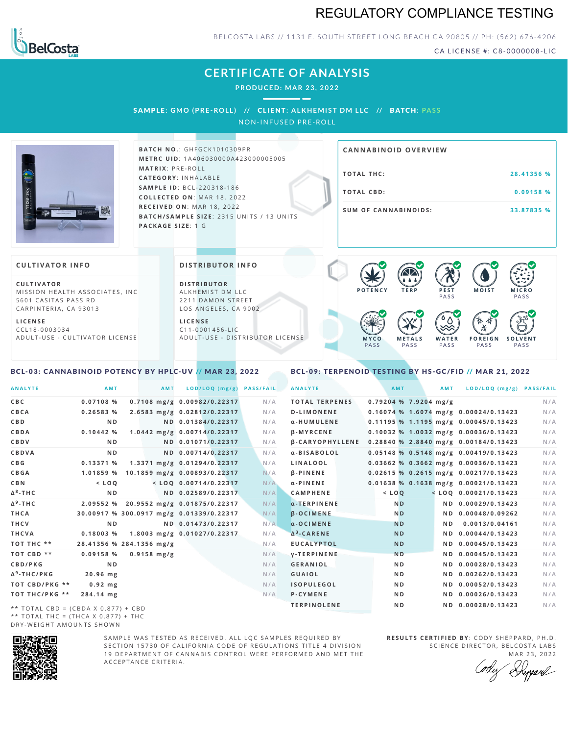## REGULATORY COMPLIANCE TESTING



BELCOSTA LABS // 1131 E. SOUTH STREET LONG BEACH CA 90805 // PH: (562) 676-4206

CA LICENSE #: C8-0000008-LIC

# **CERTIFICATE OF ANALYSIS**

**PRODUCED: MA R 23, 2022**

SAMPL E **: GMO (PRE -ROL L ) //** CL I ENT**: A LKHEMI ST DM L LC //** BATCH**: PA S S** NON-INFUSED PRE-ROLL



**BAT C H N O .**: G H F G C K 1 0 1 0 3 0 9 P R **M E T R C U ID** :1 A 4 0 6 0 3 0 0 0 0 A 4 2 3 0 0 0 0 0 5 0 0 5 **M AT R I X** :P R E - R O L L **CAT E G O R Y** : I N H A L A B L E **SA M P L E I D** :B C L - 2 2 0 3 1 8 - 1 8 6  $COLLECTED ON: MAR 18, 2022$ **R E C E I V E D O N** : M A R 1 8 ,2 0 2 2 **BATCH/SAMPLE SIZE: 2315 UNITS / 13 UNITS PAC KA G E S I Z E** : 1 G

# **T O TAL T H C :2 8 . 4 1 3 5 6 % T O TAL CB D :0 . 0 9 1 5 8 % S U M O F CA N N ABI N O I D S : 3 3 . 8 7 8 3 5 % CA N N ABI N OID OVERVI EW**

### **CULTIVATOR I N FO**

**C U L T I VAT O R** MISSION HEALTH ASSOCIATES, INC. 5601 CASITAS PASS RD CARPINTERIA, CA 93013

**L I C E N S E** C C L 1 8 - 0 0 0 3 0 3 4 A D U L T - U S E - C U L T I V A T O R L I C E N S E

<span id="page-0-0"></span>BCL-03: CANNABINOID POTENCY BY HPLC-UV // MAR 23, 2022

### **DI STRIBUTOR I N FO**

**D I S T R IB U T O R** ALKHEMIST DM LLC 2211 DAMON STREET LOS ANGELES, CA 9002

**L I C E N S E**  $C$  1 1 - 0 0 0 1 4 5 6 - L I C A D U L T - U S E - D I STRI B U T O R LICENSE



<span id="page-0-1"></span>BCL-09: TERPENOID TESTING BY HS-GC/FID // MAR 21, 2022

| <b>ANALYTE</b>                      | AMT                                      | <b>AMT</b>            | LOD/LOQ (mg/g)               | <b>PASS/FAIL</b> | <b>ANALYTE</b>         |                         | AMT            | <b>AMT</b> | LOD/LOQ (mg/g) PASS/FAIL                |     |
|-------------------------------------|------------------------------------------|-----------------------|------------------------------|------------------|------------------------|-------------------------|----------------|------------|-----------------------------------------|-----|
| C B C                               | 0.07108%                                 |                       | 0.7108 mg/g 0.00982/0.22317  | N/A              | <b>TOTAL TERPENES</b>  | $0.79204$ % 7.9204 mg/g |                |            |                                         | N/A |
| CBCA                                | 0.26583%                                 |                       | 2.6583 mg/g 0.02812/0.22317  | N/A              | <b>D-LIMONENE</b>      |                         |                |            | 0.16074 % 1.6074 mg/g 0.00024/0.13423   | N/A |
| C B D                               | N <sub>D</sub>                           |                       | ND 0.01384/0.22317           | N/A              | α-HUMULENE             |                         |                |            | 0.11195 % 1.1195 mg/g 0.00045/0.13423   | N/A |
| CBDA                                | 0.10442%                                 |                       | 1.0442 mg/g 0.00714/0.22317  | N/A              | <b>B-MYRCENE</b>       |                         |                |            | $0.10032$ % 1.0032 mg/g 0.00036/0.13423 | N/A |
| <b>CBDV</b>                         | ND.                                      |                       | ND 0.01071/0.22317           | N/A              | <b>B-CARYOPHYLLENE</b> |                         |                |            | 0.28840 % 2.8840 mg/g 0.00184/0.13423   | N/A |
| CBDVA                               | N <sub>D</sub>                           |                       | ND 0.00714/0.22317           | N/A              | α-BISABOLOL            |                         |                |            | $0.05148$ % 0.5148 mg/g 0.00419/0.13423 | N/A |
| C B G                               | 0.13371 %                                |                       | 1.3371 mg/g 0.01294/0.22317  | N/A              | LINALOOL               |                         |                |            | 0.03662 % 0.3662 mg/g 0.00036/0.13423   | N/A |
| <b>CBGA</b>                         | 1.01859 %                                |                       | 10.1859 mg/g 0.00893/0.22317 | N/A              | <b>B-PINENE</b>        |                         |                |            | 0.02615 % 0.2615 mg/g 0.00217/0.13423   | N/A |
| C B N                               | $<$ LOO                                  |                       | $<$ LOQ 0.00714/0.22317      | N/A              | $\alpha$ -PINENE       |                         |                |            | 0.01638 % 0.1638 mg/g 0.00021/0.13423   | N/A |
| Δ <sup>8</sup> -ΤΗ C                | N <sub>D</sub>                           |                       | ND 0.02589/0.22317           | N/A              | <b>CAMPHENE</b>        | $<$ $L O Q$             |                |            | $<$ LOQ 0.00021/0.13423                 | N/A |
| Δ <sup>9</sup> -ΤΗ C                | 2.09552 %                                |                       | 20.9552 mg/g 0.01875/0.22317 | N/A              | $\alpha$ -TERPINENE    |                         | N <sub>D</sub> |            | ND 0.00029/0.13423                      | N/A |
| THCA                                | 30.00917 % 300.0917 mg/g 0.01339/0.22317 |                       |                              | N/A              | <b>B-OCIMENE</b>       |                         | N <sub>D</sub> |            | ND 0.00048/0.09262                      | N/A |
| THCV                                | N <sub>D</sub>                           |                       | ND 0.01473/0.22317           | N/A              | $\alpha$ -OCIMENE      |                         | <b>ND</b>      | ND.        | 0.0013/0.04161                          | N/A |
| THCVA                               | 0.18003%                                 |                       | 1.8003 mg/g 0.01027/0.22317  | N/A              | $\Delta^3$ -CARENE     |                         | <b>ND</b>      |            | ND 0.00044/0.13423                      | N/A |
| тот тнс **                          | 28.41356 % 284.1356 mg/g                 |                       |                              | N/A              | <b>EUCALYPTOL</b>      |                         | <b>ND</b>      |            | ND 0.00045/0.13423                      | N/A |
| TOT CBD **                          | 0.09158%                                 | $0.9158 \text{ mg/g}$ |                              | N/A              | <b>V-TERPINENE</b>     |                         | <b>ND</b>      |            | ND 0.00045/0.13423                      | N/A |
| <b>CBD/PKG</b>                      | N <sub>D</sub>                           |                       |                              | N/A              | <b>GERANIOL</b>        |                         | N <sub>D</sub> |            | ND 0.00028/0.13423                      | N/A |
| Δ <sup>9</sup> -THC/PKG             | 20.96 mg                                 |                       |                              | N/A              | <b>GUAIOL</b>          |                         | N <sub>D</sub> |            | ND 0.00262/0.13423                      | N/A |
| ТОТ СВD/РКG **                      | $0.92$ mg                                |                       |                              | N/A              | <b>ISOPULEGOL</b>      |                         | ND.            |            | ND 0.00052/0.13423                      | N/A |
| ТОТ ТНС/РКG **                      | 284.14 mg                                |                       |                              | N/A              | P-CYMENE               |                         | N <sub>D</sub> |            | ND 0.00026/0.13423                      | N/A |
| ** TOTAL CRD - (CRDA V 0 977) + CRD |                                          |                       |                              |                  | <b>TERPINOLENE</b>     |                         | N <sub>D</sub> |            | ND 0.00028/0.13423                      | N/A |

\*\* TOTAL CBD =  $(CBDA X 0.877) + CBD$ \*\* TOTAL THC =  $(THCA X 0.877) + THC$ DRY-WEIGHT AMOUNTS SHOWN



SAMPLE WAS TESTED AS RECEIVED. ALL LOC SAMPLES REQUIRED BY SECTION 15730 OF CALIFORNIA CODE OF REGULATIONS TITLE 4 DIVISION 19 DEPARTMENT OF CANNABIS CONTROL WERE PERFORMED AND MET THE A C C E P T A N C E C R I T E R I A .

**R E S U L T S C E R T I F I E D BY** : C O D Y S H E P P A R D ,P H .D . SCIENCE DIRECTOR, BELCOSTA LABS

MAR 23, 2022 Repard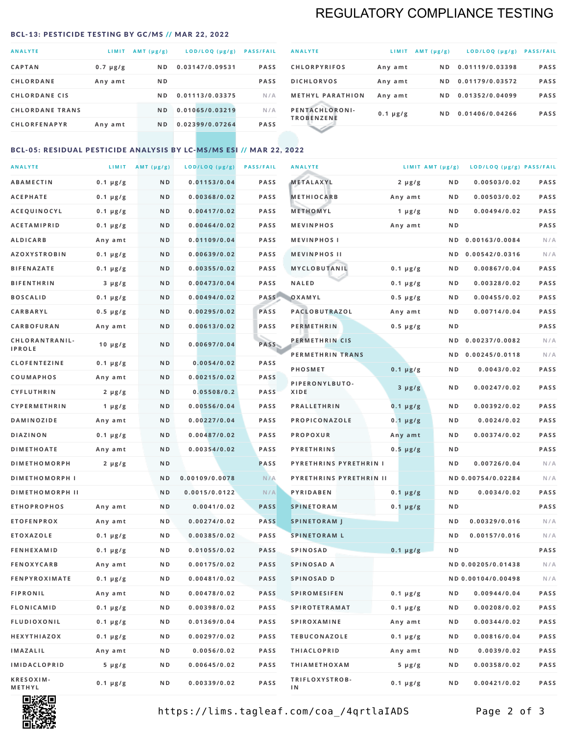# REGULATORY COMPLIANCE TESTING

#### <span id="page-1-0"></span>BCL-13: PESTICIDE TESTING BY GC/MS // MAR 22, 2022

| <b>ANALYTE</b>         | LIMIT         | AMT $(\mu g/g)$ | LOD/LOQ (µg/g)  | <b>PASS/FAIL</b> |
|------------------------|---------------|-----------------|-----------------|------------------|
| <b>CAPTAN</b>          | $0.7 \mu g/g$ | N <sub>D</sub>  | 0.03147/0.09531 | <b>PASS</b>      |
| <b>CHLORDANE</b>       | Any amt       | N <sub>D</sub>  |                 | <b>PASS</b>      |
| <b>CHLORDANE CIS</b>   |               | ND.             | 0.01113/0.03375 | N/A              |
| <b>CHLORDANE TRANS</b> |               | N <sub>D</sub>  | 0.01065/0.03219 | N/A              |
| <b>CHLORFENAPYR</b>    | Any amt       | N <sub>D</sub>  | 0.02399/0.07264 | <b>PASS</b>      |

| <b>ANALYTE</b>                      | LIMIT         | $AMT (\mu g/g)$ | $LOD/LOQ$ ( $\mu g/g$ ) | <b>PASS/FAIL</b> |
|-------------------------------------|---------------|-----------------|-------------------------|------------------|
| <b>CHLORPYRIFOS</b>                 | Any amt       | N D             | 0.01119/0.03398         | <b>PASS</b>      |
| <b>DICHLORVOS</b>                   | Any amt       | ND.             | 0.01179/0.03572         | <b>PASS</b>      |
| <b>METHYL PARATHION</b>             | Any amt       | ND.             | 0.01352/0.04099         | <b>PASS</b>      |
| PENTACHLORONI-<br><b>TROBENZENE</b> | $0.1 \mu g/g$ | ND.             | 0.01406/0.04266         | <b>PASS</b>      |
|                                     |               |                 |                         |                  |

### BCL-05: RESIDUAL PESTICIDE ANALYSIS BY LC-MS/MS ESI // MAR 22, 2022

| <b>ANALYTE</b>             |               | LIMIT $AMT (\mu g/g)$ | LOD/LOQ (µg/g) | <b>PASS/FAIL</b> | <b>ANALYTE</b>          |               | LIMIT AMT $(\mu g/g)$ | LOD/LOQ (µg/g) PASS/FAIL |             |
|----------------------------|---------------|-----------------------|----------------|------------------|-------------------------|---------------|-----------------------|--------------------------|-------------|
| ABAMECTIN                  | $0.1 \mu g/g$ | ND                    | 0.01153/0.04   | <b>PASS</b>      | METALAXYL               | $2 \mu g/g$   | N D                   | 0.00503/0.02             | <b>PASS</b> |
| <b>ACEPHATE</b>            | $0.1 \mu g/g$ | N D                   | 0.00368/0.02   | <b>PASS</b>      | <b>METHIOCARB</b>       | Any amt       | N D                   | 0.00503/0.02             | PASS        |
| <b>ACEQUINOCYL</b>         | $0.1 \mu g/g$ | N D                   | 0.00417/0.02   | <b>PASS</b>      | METHOMYL                | 1 $\mu$ g/g   | N D                   | 0.00494/0.02             | PASS        |
| <b>ACETAMIPRID</b>         | $0.1 \mu g/g$ | N D                   | 0.00464/0.02   | <b>PASS</b>      | <b>MEVINPHOS</b>        | Any amt       | N D                   |                          | PASS        |
| <b>ALDICARB</b>            | Any amt       | N D                   | 0.01109/0.04   | <b>PASS</b>      | <b>MEVINPHOSI</b>       |               | N D                   | 0.00163/0.0084           | N/A         |
| <b>AZOXYSTROBIN</b>        | $0.1 \mu g/g$ | N D                   | 0.00639/0.02   | <b>PASS</b>      | <b>MEVINPHOS II</b>     |               | N D                   | 0.00542/0.0316           | N/A         |
| <b>BIFENAZATE</b>          | $0.1 \mu g/g$ | N D                   | 0.00355/0.02   | <b>PASS</b>      | MYCLOBUTANIL            | $0.1 \mu g/g$ | N D                   | 0.00867/0.04             | PASS        |
| <b>BIFENTHRIN</b>          | $3 \mu g/g$   | ND                    | 0.00473/0.04   | <b>PASS</b>      | <b>NALED</b>            | $0.1 \mu g/g$ | N D                   | 0.00328/0.02             | PASS        |
| <b>BOSCALID</b>            | $0.1 \mu g/g$ | N D                   | 0.00494/0.02   | PASS             | OXAMYL                  | $0.5 \mu g/g$ | N D                   | 0.00455/0.02             | <b>PASS</b> |
| <b>CARBARYL</b>            | $0.5 \mu g/g$ | ND                    | 0.00295/0.02   | PASS             | PACLOBUTRAZOL           | Any amt       | N D                   | 0.00714/0.04             | PASS        |
| CARBOFURAN                 | Any amt       | N D                   | 0.00613/0.02   | <b>PASS</b>      | <b>PERMETHRIN</b>       | $0.5 \mu g/g$ | N D                   |                          | PASS        |
| CHLORANTRANIL-             | $10 \mu g/g$  | N D                   | 0.00697/0.04   | PASS             | PERMETHRIN CIS          |               | N D                   | 0.00237/0.0082           | N/A         |
| <b>IPROLE</b>              |               |                       |                |                  | PERMETHRIN TRANS        |               | N D                   | 0.00245/0.0118           | N/A         |
| <b>CLOFENTEZINE</b>        | $0.1 \mu g/g$ | N D                   | 0.0054/0.02    | <b>PASS</b>      | PHOSMET                 | $0.1 \mu g/g$ | N D                   | 0.0043/0.02              | PASS        |
| COUMAPHOS                  | Any amt       | N D                   | 0.00215/0.02   | <b>PASS</b>      | PIPERONYLBUTO-          | $3 \mu g/g$   | N D                   | 0.00247/0.02             | PASS        |
| <b>CYFLUTHRIN</b>          | $2 \mu g/g$   | N D                   | 0.05508/0.2    | <b>PASS</b>      | XIDE                    |               |                       |                          |             |
| <b>CYPERMETHRIN</b>        | 1 $\mu$ g/g   | ND                    | 0.00556/0.04   | <b>PASS</b>      | <b>PRALLETHRIN</b>      | $0.1 \mu g/g$ | N D                   | 0.00392/0.02             | PASS        |
| <b>DAMINOZIDE</b>          | Any amt       | N D                   | 0.00227/0.04   | <b>PASS</b>      | PROPICONAZOLE           | $0.1 \mu g/g$ | N D                   | 0.0024/0.02              | PASS        |
| <b>DIAZINON</b>            | $0.1 \mu g/g$ | N D                   | 0.00487/0.02   | <b>PASS</b>      | <b>PROPOXUR</b>         | Any amt       | N D                   | 0.00374/0.02             | PASS        |
| <b>DIMETHOATE</b>          | Any amt       | N D                   | 0.00354/0.02   | <b>PASS</b>      | <b>PYRETHRINS</b>       | $0.5 \mu g/g$ | N D                   |                          | PASS        |
| <b>DIMETHOMORPH</b>        | $2 \mu g/g$   | N D                   |                | <b>PASS</b>      | PYRETHRINS PYRETHRIN I  |               | ND                    | 0.00726/0.04             | N/A         |
| <b>DIMETHOMORPH I</b>      |               | N D                   | 0.00109/0.0078 | N/A              | PYRETHRINS PYRETHRIN II |               |                       | ND 0.00754/0.02284       | N/A         |
| <b>DIMETHOMORPH II</b>     |               | ND                    | 0.0015/0.0122  | N/A              | PYRIDABEN               | $0.1 \mu g/g$ | N D                   | 0.0034/0.02              | <b>PASS</b> |
| <b>ETHOPROPHOS</b>         | Any amt       | N D                   | 0.0041/0.02    | <b>PASS</b>      | <b>SPINETORAM</b>       | $0.1 \mu g/g$ | N D                   |                          | PASS        |
| <b>ETOFENPROX</b>          | Any amt       | N D                   | 0.00274/0.02   | <b>PASS</b>      | <b>SPINETORAM J</b>     |               | N D                   | 0.00329/0.016            | N/A         |
| <b>ETOXAZOLE</b>           | $0.1 \mu g/g$ | N D                   | 0.00385/0.02   | <b>PASS</b>      | <b>SPINETORAM L</b>     |               | ND                    | 0.00157/0.016            | N/A         |
| <b>FENHEXAMID</b>          | $0.1 \mu g/g$ | N D                   | 0.01055/0.02   | <b>PASS</b>      | <b>SPINOSAD</b>         | $0.1 \mu g/g$ | ND                    |                          | PASS        |
| <b>FENOXYCARB</b>          | Any amt       | N D                   | 0.00175/0.02   | <b>PASS</b>      | SPINOSAD A              |               |                       | ND 0.00205/0.01438       | N/A         |
| <b>FENPYROXIMATE</b>       | $0.1 \mu g/g$ | N D                   | 0.00481/0.02   | <b>PASS</b>      | SPINOSAD D              |               |                       | ND 0.00104/0.00498       | N/A         |
| <b>FIPRONIL</b>            | Any amt       | N D                   | 0.00478/0.02   | <b>PASS</b>      | <b>SPIROMESIFEN</b>     | $0.1 \mu g/g$ | N D                   | 0.00944/0.04             | PASS        |
| FLONICAMID                 | $0.1 \mu g/g$ | N D                   | 0.00398/0.02   | PASS             | <b>SPIROTETRAMAT</b>    | $0.1 \mu g/g$ | N D                   | 0.00208/0.02             | PASS        |
| <b>FLUDIOXONIL</b>         | $0.1 \mu g/g$ | N D                   | 0.01369/0.04   | PASS             | <b>SPIROXAMINE</b>      | Any amt       | N D                   | 0.00344/0.02             | PASS        |
| HEXYTHIAZOX                | $0.1 \mu g/g$ | N D                   | 0.00297/0.02   | PASS             | <b>TEBUCONAZOLE</b>     | $0.1 \mu g/g$ | N D                   | 0.00816/0.04             | PASS        |
| IMAZALIL                   | Any amt       | N D                   | 0.0056/0.02    | PASS             | <b>THIACLOPRID</b>      | Any amt       | N D                   | 0.0039/0.02              | PASS        |
| IMIDACLOPRID               | $5 \mu g/g$   | N D                   | 0.00645/0.02   | PASS             | <b>THIAMETHOXAM</b>     | $5 \mu g/g$   | N D                   | 0.00358/0.02             | PASS        |
| <b>KRESOXIM-</b><br>METHYL | $0.1 \mu g/g$ | N D                   | 0.00339/0.02   | PASS             | TRIFLOXYSTROB-<br>IN.   | $0.1 \mu g/g$ | N D                   | 0.00421/0.02             | PASS        |



https://lims.tagleaf.com/coa\_/4qrtlaIADS Page 2 of 3